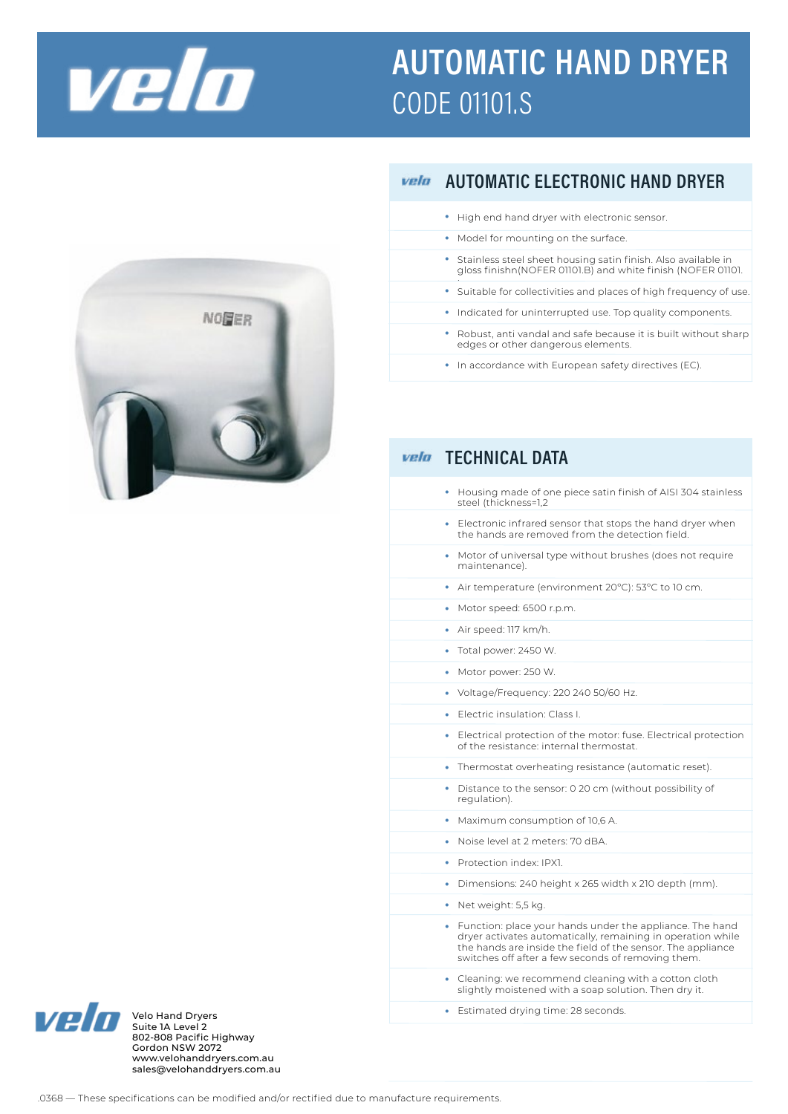

## **AUTOMATIC HAND DRYER CODE 01101.S**



## **AUTOMATIC ELECTRONIC HAND DRYER** vela

- $\bullet\;$  High end hand dryer with electronic sensor.
- Model for mounting on the surface.
- Stainless steel sheet housing satin finish. Also available in gloss finishn(NOFER 01101.B) and white finish (NOFER 01101.
- Suitable for collectivities and places of high frequency of use.
- Indicated for uninterrupted use. Top quality components.
- Robust, anti vandal and safe because it is built without sharp edges or other dangerous elements.
- In accordance with European safety directives (EC).

## • Housing made of one piece satin finish of AISI 304 stainless steel (thickness=1,2 Electronic infrared sensor that stops the hand dryer when • the hands are removed from the detection field. Motor of universal type without brushes (does not require • maintenance). • Air temperature (environment 20°C): 53°C to 10 cm. • Motor speed: 6500 r.p.m. Air speed: 117 km/h. • • Total power: 2450 W. • Motor power: 250 W. • Voltage/Frequency: 220 240 50/60 Hz. • Electric insulation: Class I. Electrical protection of the motor: fuse. Electrical protection • of the resistance: internal thermostat. • Thermostat overheating resistance (automatic reset). • Distance to the sensor: 0 20 cm (without possibility of regulation). • Maximum consumption of 10,6 A. • Noise level at 2 meters: 70 dBA. • Protection index: IPX1. • Dimensions: 240 height x 265 width x 210 depth (mm). • Net weight: 5,5 kg. • Function: place your hands under the appliance. The hand dryer activates automatically, remaining in operation while the hands are inside the field of the sensor. The appliance switches off after a few seconds of removing them Cleaning: we recommend cleaning with a cotton cloth slightly moistened with a soap solution. Then dry it. vela TECHNICAL DATA •

Estimated drying time: 28 seconds. Velo Hand Dryers •



Velo Hand Dryers<br>Suite 1A Level 2 802-808 Pacific Highway Gordon NSW 2072 www.velohanddryers.com.au sales@velohanddryers.com.au